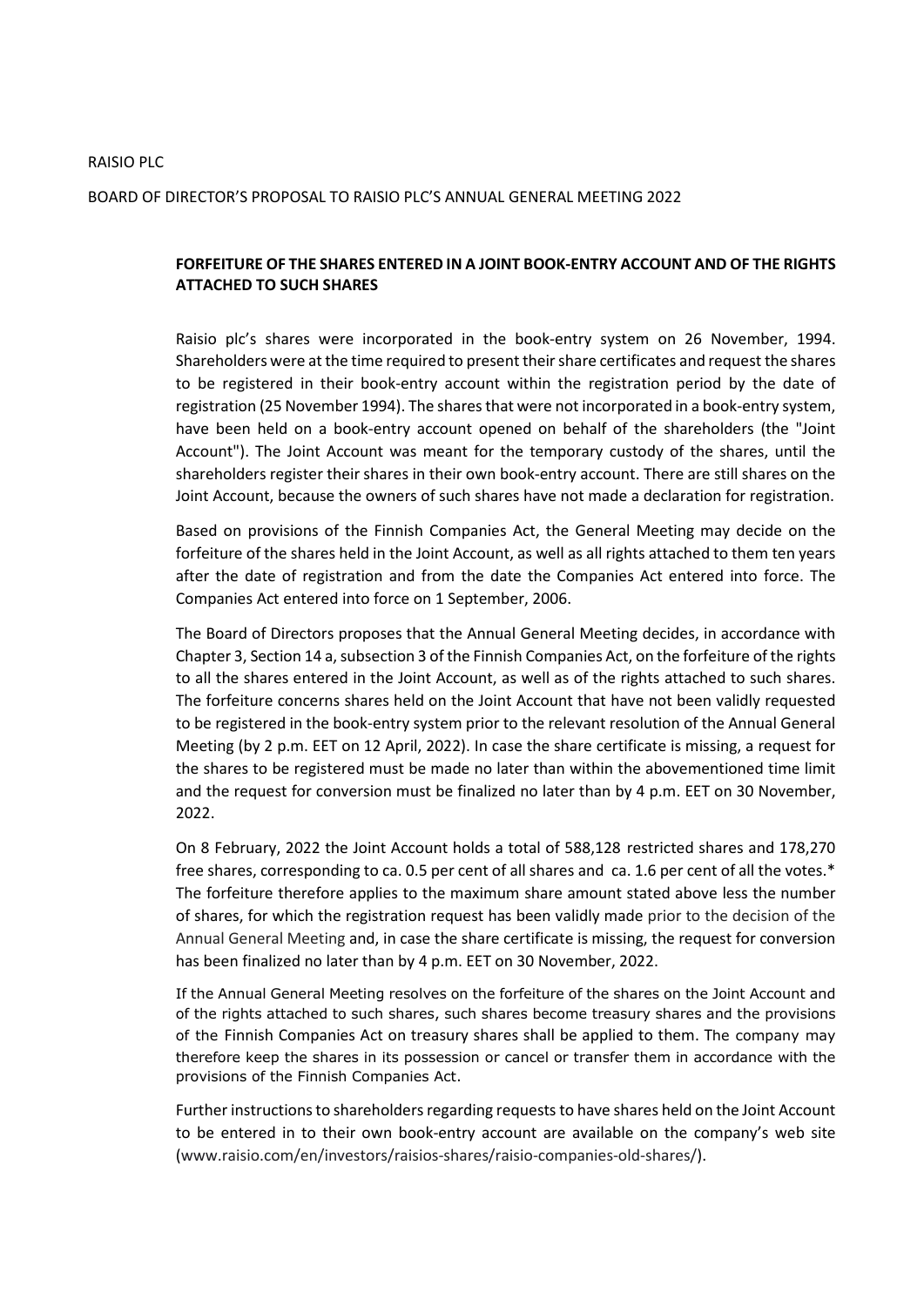## RAISIO PLC

## BOARD OF DIRECTOR'S PROPOSAL TO RAISIO PLC'S ANNUAL GENERAL MEETING 2022

## **FORFEITURE OF THE SHARES ENTERED IN A JOINT BOOK-ENTRY ACCOUNT AND OF THE RIGHTS ATTACHED TO SUCH SHARES**

Raisio plc's shares were incorporated in the book-entry system on 26 November, 1994. Shareholders were at the time required to present their share certificates and request the shares to be registered in their book-entry account within the registration period by the date of registration (25 November 1994). The shares that were not incorporated in a book-entry system, have been held on a book-entry account opened on behalf of the shareholders (the "Joint Account"). The Joint Account was meant for the temporary custody of the shares, until the shareholders register their shares in their own book-entry account. There are still shares on the Joint Account, because the owners of such shares have not made a declaration for registration.

Based on provisions of the Finnish Companies Act, the General Meeting may decide on the forfeiture of the shares held in the Joint Account, as well as all rights attached to them ten years after the date of registration and from the date the Companies Act entered into force. The Companies Act entered into force on 1 September, 2006.

The Board of Directors proposes that the Annual General Meeting decides, in accordance with Chapter 3, Section 14 a, subsection 3 of the Finnish Companies Act, on the forfeiture of the rights to all the shares entered in the Joint Account, as well as of the rights attached to such shares. The forfeiture concerns shares held on the Joint Account that have not been validly requested to be registered in the book-entry system prior to the relevant resolution of the Annual General Meeting (by 2 p.m. EET on 12 April, 2022). In case the share certificate is missing, a request for the shares to be registered must be made no later than within the abovementioned time limit and the request for conversion must be finalized no later than by 4 p.m. EET on 30 November, 2022.

On 8 February, 2022 the Joint Account holds a total of 588,128 restricted shares and 178,270 free shares, corresponding to ca. 0.5 per cent of all shares and ca. 1.6 per cent of all the votes.\* The forfeiture therefore applies to the maximum share amount stated above less the number of shares, for which the registration request has been validly made prior to the decision of the Annual General Meeting and, in case the share certificate is missing, the request for conversion has been finalized no later than by 4 p.m. EET on 30 November, 2022.

If the Annual General Meeting resolves on the forfeiture of the shares on the Joint Account and of the rights attached to such shares, such shares become treasury shares and the provisions of the Finnish Companies Act on treasury shares shall be applied to them. The company may therefore keep the shares in its possession or cancel or transfer them in accordance with the provisions of the Finnish Companies Act.

Further instructions to shareholders regarding requests to have shares held on the Joint Account to be entered in to their own book-entry account are available on the company's web site [\(www.raisio.com/en/investors/raisios-shares/raisio-companies-old-shares/\)](https://www.raisio.com/en/investors/raisios-shares/raisio-companies-old-shares/).